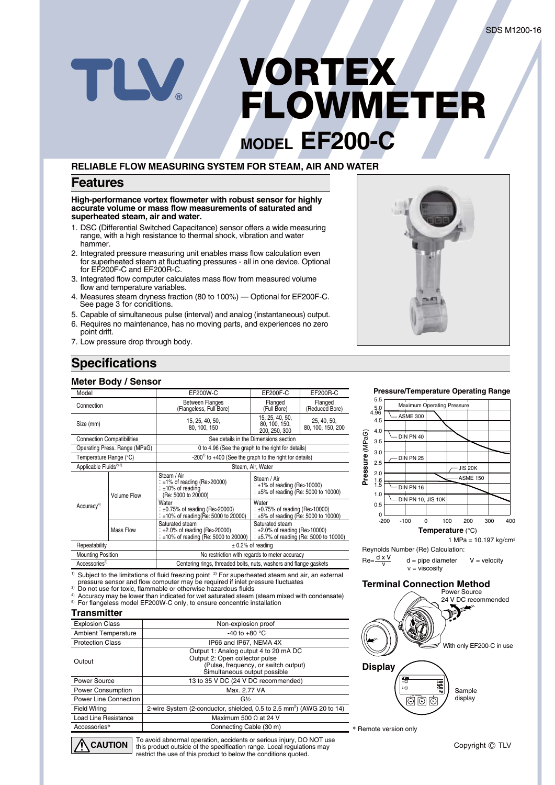# **MODEL EF200-C VORTEX FLOWMETER**

### **RELIABLE FLOW MEASURING SYSTEM FOR STEAM, AIR AND WATER**

### **Features**

**High-performance vortex flowmeter with robust sensor for highly accurate volume or mass flow measurements of saturated and superheated steam, air and water.**

- 1. DSC (Differential Switched Capacitance) sensor offers a wide measuring range, with a high resistance to thermal shock, vibration and water hammer.
- 2. Integrated pressure measuring unit enables mass flow calculation even for superheated steam at fluctuating pressures - all in one device. Optional for EF200F-C and EF200R-C.
- 3. Integrated flow computer calculates mass flow from measured volume flow and temperature variables.
- 4. Measures steam dryness fraction (80 to 100%) Optional for EF200F-C. See page 3 for conditions.
- 5. Capable of simultaneous pulse (interval) and analog (instantaneous) output.
- 6. Requires no maintenance, has no moving parts, and experiences no zero point drift.
- 7. Low pressure drop through body.

TLV.

### **Specifications**

#### **Meter Body / Sensor**

| Model                                                                                               |                                                                                     | <b>EF200W-C</b>                                                                                       | <b>EF200F-C</b>                                                                                       | EF200R-C                         |  |  |  |  |  |
|-----------------------------------------------------------------------------------------------------|-------------------------------------------------------------------------------------|-------------------------------------------------------------------------------------------------------|-------------------------------------------------------------------------------------------------------|----------------------------------|--|--|--|--|--|
| Connection                                                                                          |                                                                                     | <b>Between Flanges</b><br>(Flangeless, Full Bore)                                                     | Flanged<br>(Full Bore)                                                                                | Flanged<br>(Reduced Bore)        |  |  |  |  |  |
| Size (mm)                                                                                           |                                                                                     | 15, 25, 40, 50,<br>80, 100, 150                                                                       | 15, 25, 40, 50,<br>80, 100, 150,<br>200, 250, 300                                                     | 25, 40, 50,<br>80, 100, 150, 200 |  |  |  |  |  |
|                                                                                                     | <b>Connection Compatibilities</b>                                                   |                                                                                                       | See details in the Dimensions section                                                                 |                                  |  |  |  |  |  |
|                                                                                                     | Operating Press. Range (MPaG)<br>0 to 4.96 (See the graph to the right for details) |                                                                                                       |                                                                                                       |                                  |  |  |  |  |  |
| Temperature Range (°C)                                                                              |                                                                                     | $-2001$ to $+400$ (See the graph to the right for details)                                            |                                                                                                       |                                  |  |  |  |  |  |
| Applicable Fluids <sup>2) 3)</sup>                                                                  |                                                                                     | Steam, Air, Water                                                                                     |                                                                                                       |                                  |  |  |  |  |  |
|                                                                                                     | <b>Volume Flow</b>                                                                  | Steam / Air<br>: $\pm$ 1% of reading (Re>20000)<br>: $±10\%$ of reading<br>(Re: 5000 to 20000)        | Steam / Air<br>: $\pm 1\%$ of reading (Re>10000)<br>: $\pm 5\%$ of reading (Re: 5000 to 10000)        |                                  |  |  |  |  |  |
| Accuracy <sup>4)</sup>                                                                              |                                                                                     | Water<br>: $\pm 0.75\%$ of reading (Re>20000)<br>: $\pm 10\%$ of reading(Re: 5000 to 20000)           | Water<br>: $\pm 0.75\%$ of reading (Re>10000)<br>$\pm 5\%$ of reading (Re: 5000 to 10000)             |                                  |  |  |  |  |  |
|                                                                                                     | Mass Flow                                                                           | Saturated steam<br>: $\pm 2.0\%$ of reading (Re>20000)<br>: $\pm 10\%$ of reading (Re: 5000 to 20000) | Saturated steam<br>: $\pm 2.0\%$ of reading (Re>10000)<br>: $\pm$ 5.7% of reading (Re: 5000 to 10000) |                                  |  |  |  |  |  |
| Repeatability                                                                                       |                                                                                     | $\pm$ 0.2% of reading                                                                                 |                                                                                                       |                                  |  |  |  |  |  |
| <b>Mounting Position</b>                                                                            |                                                                                     | No restriction with regards to meter accuracy                                                         |                                                                                                       |                                  |  |  |  |  |  |
| Accessories <sup>5)</sup>                                                                           |                                                                                     | Centering rings, threaded bolts, nuts, washers and flange gaskets                                     |                                                                                                       |                                  |  |  |  |  |  |
| 1) Subject to the limitations of fluid freezing point 2) For superheated steam and air, an external |                                                                                     |                                                                                                       |                                                                                                       |                                  |  |  |  |  |  |

<sup>1)</sup> Subject to the limitations of fluid freezing point <sup>2)</sup> For superheated steam and air, an external<br>pressure sensor and flow computer may be required if inlet pressure fluctuates<br><sup>3)</sup> Do not use for toxic, flammable or

4) Accuracy may be lower than indicated for wet saturated steam (steam mixed with condensate) 5) For flangeless model EF200W-C only, to ensure concentric installation

### **Transmitter**

| <b>Explosion Class</b>      | Non-explosion proof                                                                                                                             |
|-----------------------------|-------------------------------------------------------------------------------------------------------------------------------------------------|
| <b>Ambient Temperature</b>  | -40 to +80 $^{\circ}$ C                                                                                                                         |
| <b>Protection Class</b>     | IP66 and IP67, NEMA 4X                                                                                                                          |
| Output                      | Output 1: Analog output 4 to 20 mA DC<br>Output 2: Open collector pulse<br>(Pulse, frequency, or switch output)<br>Simultaneous output possible |
| Power Source                | 13 to 35 V DC (24 V DC recommended)                                                                                                             |
| Power Consumption           | Max. 2.77 VA                                                                                                                                    |
| Power Line Connection       | $G\frac{1}{2}$                                                                                                                                  |
| <b>Field Wiring</b>         | 2-wire System (2-conductor, shielded, 0.5 to 2.5 mm <sup>2</sup> ) (AWG 20 to 14)                                                               |
| <b>Load Line Resistance</b> | Maximum 500 $\Omega$ at 24 V                                                                                                                    |
| Accessories*                | Connecting Cable (30 m)                                                                                                                         |
|                             |                                                                                                                                                 |

To avoid abnormal operation, accidents or serious injury, DO NOT use this product outside of the specification range. Local regulations may restrict the use of this product to below the conditions quoted.  $\Lambda$  Caution |



#### **Pressure/Temperature Operating Range**



Reynolds Number (Re) Calculation:  $Re = \frac{d \times V}{dt}$ 

 $d =$  pipe diameter ν = viscosity  $V =$  velocity

#### **Terminal Connection Method**



**\*** Remote version only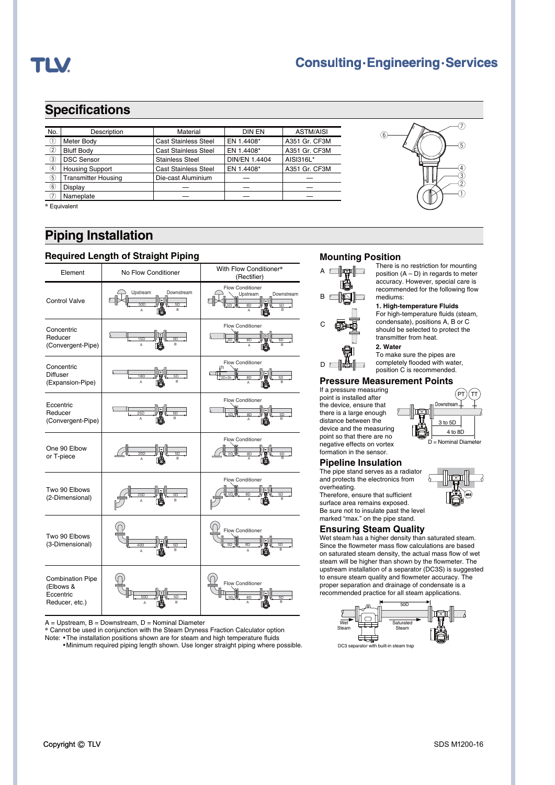

### **Consulting·Engineering·Services**

 $\circledast$ 

### **Specifications**

| No. | <b>Description</b>         | Material                    | <b>DIN EN</b>        | <b>ASTM/AISI</b> |
|-----|----------------------------|-----------------------------|----------------------|------------------|
| T   | Meter Body                 | <b>Cast Stainless Steel</b> | EN 1.4408*           | A351 Gr. CF3M    |
| 2   | <b>Bluff Body</b>          | <b>Cast Stainless Steel</b> | EN 1.4408*           | A351 Gr. CF3M    |
| 3   | <b>DSC Sensor</b>          | <b>Stainless Steel</b>      | <b>DIN/EN 1.4404</b> | AISI316L*        |
| ④   | <b>Housing Support</b>     | <b>Cast Stainless Steel</b> | EN 1.4408*           | A351 Gr. CF3M    |
| 5   | <b>Transmitter Housing</b> | Die-cast Aluminium          |                      |                  |
| 6   | Display                    |                             |                      |                  |
|     | Nameplate                  |                             |                      |                  |

**\*** Equivalent

### **Piping Installation**

### **Required Length of Straight Piping**



 $A = Upstream$ ,  $B = Downstream$ ,  $D = Nominal Diameter$ 

**\*** Cannot be used in conjunction with the Steam Dryness Fraction Calculator option Note: . The installation positions shown are for steam and high temperature fluids ¡Minimum required piping length shown. Use longer straight piping where possible.

### **Mounting Position**



There is no restriction for mounting position  $(A - D)$  in regards to meter accuracy. However, special care is recommended for the following flow mediums:

 $\circledS$ 

 $\widehat{U}$ 

 $^\circledR$ w

 $_{\mathbb{G}}$ G

#### **1. High-temperature Fluids**

For high-temperature fluids (steam, condensate), positions A, B or C should be selected to protect the transmitter from heat. **2. Water**

To make sure the pipes are

completely flooded with water, position C is recommended.

#### **Pressure Measurement Points**

If a pressure measuring point is installed after .<br>the device, ensure that there is a large enough distance between the device and the measuring point so that there are no .<br>negative effects on vortex formation in the sensor.

#### **Pipeline Insulation**

The pipe stand serves as a radiator and protects the electronics from overheating.

Therefore, ensure that sufficient surface area remains exposed. Be sure not to insulate past the level marked "max." on the pipe stand.

#### **Ensuring Steam Quality**

Wet steam has a higher density than saturated steam. Since the flowmeter mass flow calculations are based on saturated steam density, the actual mass flow of wet steam will be higher than shown by the flowmeter. The upstream installation of a separator (DC3S) is suggested to ensure steam quality and flowmeter accuracy. The proper separation and drainage of condensate is a recommended practice for all steam applications.





Downstream

PT $)$ (TT



Copyright C TLV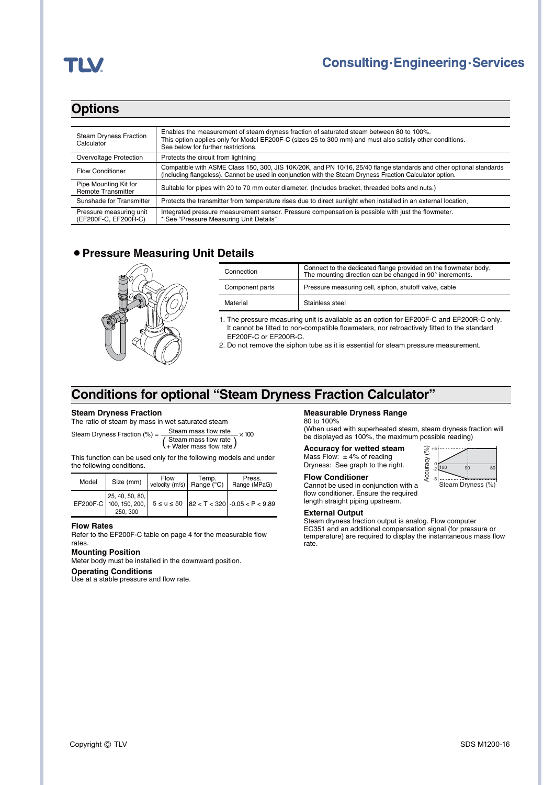## TLV

### **Options**

| <b>Steam Dryness Fraction</b><br>Calculator        | Enables the measurement of steam dryness fraction of saturated steam between 80 to 100%.<br>This option applies only for Model EF200F-C (sizes 25 to 300 mm) and must also satisfy other conditions.<br>See below for further restrictions. |
|----------------------------------------------------|---------------------------------------------------------------------------------------------------------------------------------------------------------------------------------------------------------------------------------------------|
| Overvoltage Protection                             | Protects the circuit from lightning                                                                                                                                                                                                         |
| <b>Flow Conditioner</b>                            | Compatible with ASME Class 150, 300, JIS 10K/20K, and PN 10/16, 25/40 flange standards and other optional standards<br>(including flangeless). Cannot be used in conjunction with the Steam Dryness Fraction Calculator option.             |
| Pipe Mounting Kit for<br><b>Remote Transmitter</b> | Suitable for pipes with 20 to 70 mm outer diameter. (Includes bracket, threaded bolts and nuts.)                                                                                                                                            |
| Sunshade for Transmitter                           | Protects the transmitter from temperature rises due to direct sunlight when installed in an external location                                                                                                                               |
| Pressure measuring unit<br>(EF200F-C, EF200R-C)    | Integrated pressure measurement sensor. Pressure compensation is possible with just the flowmeter.<br>* See "Pressure Measuring Unit Details"                                                                                               |

### **• Pressure Measuring Unit Details**



| Connection      | Connect to the dedicated flange provided on the flowmeter body.<br>The mounting direction can be changed in 90° increments. |  |  |  |  |  |  |
|-----------------|-----------------------------------------------------------------------------------------------------------------------------|--|--|--|--|--|--|
| Component parts | Pressure measuring cell, siphon, shutoff valve, cable                                                                       |  |  |  |  |  |  |
| Material        | Stainless steel                                                                                                             |  |  |  |  |  |  |

1. The pressure measuring unit is available as an option for EF200F-C and EF200R-C only. It cannot be fitted to non-compatible flowmeters, nor retroactively fitted to the standard EF200F-C or EF200R-C.

2. Do not remove the siphon tube as it is essential for steam pressure measurement.

### **Conditions for optional "Steam Dryness Fraction Calculator"**

#### **Steam Dryness Fraction**

The ratio of steam by mass in wet saturated steam

Steam Dryness Fraction (%) =  $\frac{\text{Steam mass flow rate}}{400 \text{ Hz}} \times 100$ (Steam mass flow rate)

This function can be used only for the following models and under the following conditions.

| Model | Size (mm)                                              | Flow<br>velocity $(m/s)$ Range (°C) | Temp. | Press.<br>Range (MPaG)                             |
|-------|--------------------------------------------------------|-------------------------------------|-------|----------------------------------------------------|
|       | 25, 40, 50, 80,<br>EF200F-C 100, 150, 200,<br>250, 300 |                                     |       | $5 \le u \le 50$   82 < T < 320   -0.05 < P < 9.89 |

#### **Flow Rates**

Refer to the EF200F-C table on page 4 for the measurable flow rates.

#### **Mounting Position**

Meter body must be installed in the downward position.

**Operating Conditions** Use at a stable pressure and flow rate.

#### **Measurable Dryness Range**

80 to 100% (When used with superheated steam, steam dryness fraction will be displayed as 100%, the maximum possible reading)

**Accuracy for wetted steam** Mass Flow:  $\pm$  4% of reading Dryness: See graph to the right.

#### Accuracy (%) Accuracy  $\frac{0}{2}$  100 90 80 -2 -5 Steam Dryness (%)

+5

्रू

**Flow Conditioner** Cannot be used in conjunction with a flow conditioner. Ensure the required length straight piping upstream.

#### **External Output**

Steam dryness fraction output is analog. Flow computer EC351 and an additional compensation signal (for pressure or temperature) are required to display the instantaneous mass flow rate.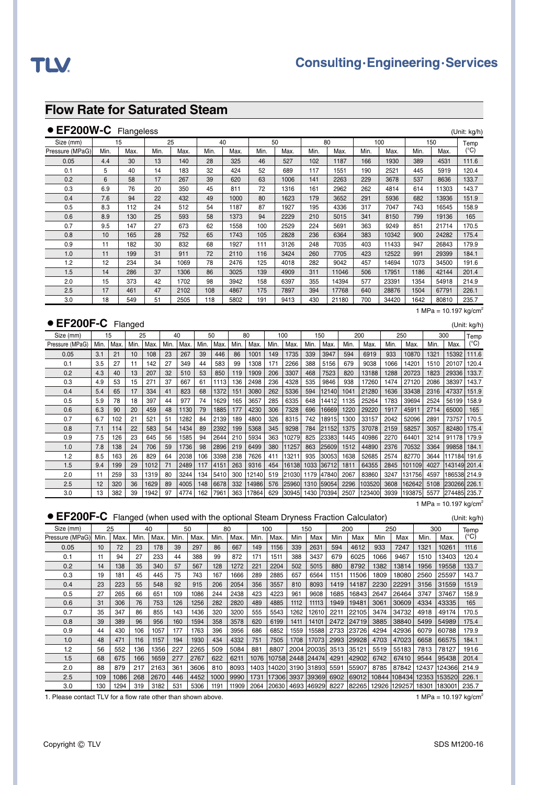### **Flow Rate for Saturated Steam**

### ● **EF200W-C** Flangeless (Unit: kg/h)

|                 |      | ັ    |      |      |      |      |      |      |      |       |      |       |      |       |              |
|-----------------|------|------|------|------|------|------|------|------|------|-------|------|-------|------|-------|--------------|
| Size (mm)       |      | 15   |      | 25   | 40   |      |      | 50   |      | 80    |      | 100   |      | 150   | Temp         |
| Pressure (MPaG) | Min. | Max. | Min. | Max. | Min. | Max. | Min. | Max. | Min. | Max.  | Min. | Max.  | Min. | Max.  | $(^\circ C)$ |
| 0.05            | 4.4  | 30   | 13   | 140  | 28   | 325  | 46   | 527  | 102  | 1187  | 166  | 1930  | 389  | 4531  | 111.6        |
| 0.1             | 5    | 40   | 14   | 183  | 32   | 424  | 52   | 689  | 117  | 1551  | 190  | 2521  | 445  | 5919  | 120.4        |
| 0.2             | 6    | 58   | 17   | 267  | 39   | 620  | 63   | 1006 | 141  | 2263  | 229  | 3678  | 537  | 8636  | 133.7        |
| 0.3             | 6.9  | 76   | 20   | 350  | 45   | 811  | 72   | 1316 | 161  | 2962  | 262  | 4814  | 614  | 11303 | 143.7        |
| 0.4             | 7.6  | 94   | 22   | 432  | 49   | 1000 | 80   | 1623 | 179  | 3652  | 291  | 5936  | 682  | 13936 | 151.9        |
| 0.5             | 8.3  | 112  | 24   | 512  | 54   | 1187 | 87   | 1927 | 195  | 4336  | 317  | 7047  | 743  | 16545 | 158.9        |
| 0.6             | 8.9  | 130  | 25   | 593  | 58   | 1373 | 94   | 2229 | 210  | 5015  | 341  | 8150  | 799  | 19136 | 165          |
| 0.7             | 9.5  | 147  | 27   | 673  | 62   | 1558 | 100  | 2529 | 224  | 5691  | 363  | 9249  | 851  | 21714 | 170.5        |
| 0.8             | 10   | 165  | 28   | 752  | 65   | 1743 | 105  | 2828 | 236  | 6364  | 383  | 10342 | 900  | 24282 | 175.4        |
| 0.9             | 11   | 182  | 30   | 832  | 68   | 1927 | 111  | 3126 | 248  | 7035  | 403  | 11433 | 947  | 26843 | 179.9        |
| 1.0             | 11   | 199  | 31   | 911  | 72   | 2110 | 116  | 3424 | 260  | 7705  | 423  | 12522 | 991  | 29399 | 184.1        |
| 1.2             | 12   | 234  | 34   | 1069 | 78   | 2476 | 125  | 4018 | 282  | 9042  | 457  | 14694 | 1073 | 34500 | 191.6        |
| 1.5             | 14   | 286  | 37   | 1306 | 86   | 3025 | 139  | 4909 | 311  | 11046 | 506  | 17951 | 1186 | 42144 | 201.4        |
| 2.0             | 15   | 373  | 42   | 1702 | 98   | 3942 | 158  | 6397 | 355  | 14394 | 577  | 23391 | 1354 | 54918 | 214.9        |
| 2.5             | 17   | 461  | 47   | 2102 | 108  | 4867 | 175  | 7897 | 394  | 17768 | 640  | 28876 | 1504 | 67791 | 226.1        |
| 3.0             | 18   | 549  | 51   | 2505 | 118  | 5802 | 191  | 9413 | 430  | 21180 | 700  | 34420 | 1642 | 80810 | 235.7        |

### ● EF200F-C Flanged (Unit: kg/h)

1 MPa =  $10.197$  kg/cm<sup>2</sup>

| \~`````````````````` |      |      |      |      |      |      |      |      |      |       |      |         |      |                  |      |        |      |        |      |              |       |
|----------------------|------|------|------|------|------|------|------|------|------|-------|------|---------|------|------------------|------|--------|------|--------|------|--------------|-------|
| Size (mm)            |      | 15   |      | 25   |      | 40   |      | 50   |      | 80    |      | 100     |      | 150              |      | 200    |      | 250    |      | 300          | Temp  |
| Pressure (MPaG)      | Min. | Max. | Min. | Max. | Min. | Max. | Min. | Max. | Min. | Max.  | Min. | Max.    | Min. | Max.             | Min. | Max.   | Min. | Max.   | Min. | Max.         | (°C)  |
| 0.05                 | 3.1  | 21   | 10   | 108  | 23   | 267  | 39   | 446  | 86   | 1001  | 149  | 1735    | 339  | 3947             | 594  | 6919   | 933  | 10870  | 1321 | 15392        | 111.6 |
| 0.1                  | 3.5  | 27   | 11   | 142  | 27   | 349  | 44   | 583  | 99   | 1308  | 171  | 2266    | 388  | 5156             | 679  | 9038   | 1066 | 14201  | 1510 | 20107        | 120.4 |
| 0.2                  | 4.3  | 40   | 13   | 207  | 32   | 510  | 53   | 850  | 119  | 1909  | 206  | 3307    | 468  | 7523             | 820  | 13188  | 1288 | 20723  | 1823 | 29336        | 133.7 |
| 0.3                  | 4.9  | 53   | 15   | 271  | 37   | 667  | 61   | 1113 | 136  | 2498  | 236  | 4328    | 535  | 9846             | 938  | 17260  | 1474 | 27120  | 2086 | 38397        | 143.7 |
| 0.4                  | 5.4  | 65   | 17   | 334  | 41   | 823  | 68   | 1372 | 151  | 3080  | 262  | 5336    | 594  | 12140            | 1041 | 21280  | 1636 | 33438  | 2316 | 47337        | 151.9 |
| 0.5                  | 5.9  | 78   | 18   | 397  | 44   | 977  | 74   | 1629 | 165  | 3657  | 285  | 6335    | 648  | 14412            | 1135 | 25264  | 1783 | 39694  | 2524 | 56199        | 158.9 |
| 0.6                  | 6.3  | 90   | 20   | 459  | 48   | 1130 | 79   | 1885 | 177  | 4230  | 306  | 7328    | 696  | 16669            | 1220 | 29220  | 1917 | 45911  | 2714 | 65000        | 165   |
| 0.7                  | 6.7  | 102  | 21   | 521  | 51   | 1282 | 84   | 2139 | 189  | 4800  | 326  | 8315    | 742  | 18915            | 1300 | 33157  | 2042 | 52096  | 2891 | 73757        | 170.5 |
| 0.8                  | 7.1  | 114  | 22   | 583  | 54   | 1434 | 89   | 2392 | 199  | 5368  | 345  | 9298    | 784  | 21152            | 1375 | 37078  | 2159 | 58257  | 3057 | 82480        | 175.4 |
| 0.9                  | 7.5  | 126  | 23   | 645  | 56   | 1585 | 94   | 2644 | 210  | 5934  | 363  | 10279   | 825  | 23383            | 1445 | 40986  | 2270 | 64401  | 3214 | 91178        | 179.9 |
| 1.0                  | 7.8  | 138  | 24   | 706  | 59   | 1736 | 98   | 2896 | 219  | 6499  | 380  | 11257   | 863  | 25609            | 1512 | 44890  | 2376 | 70532  | 3364 | 99858        | 184.1 |
| 1.2                  | 8.5  | 163  | 26   | 829  | 64   | 2038 | 106  | 3398 | 238  | 7626  | 411  | 13211   | 935  | 300531           | 1638 | 52685  | 2574 | 82770  | 3644 | 117184 191.6 |       |
| 1.5                  | 9.4  | 199  | 29   | 1012 | 71   | 2489 | 117  | 4151 | 263  | 9316  | 454  | 16138   | 1033 | 36712            | 1811 | 64355  | 2845 | 101109 | 4027 | 143149 201.4 |       |
| 2.0                  | 11   | 259  | 33   | 1319 | 80   | 3244 | 134  | 5410 | 300  | 12140 | 519  | 21030   | 1179 | 47840            | 2067 | 83860  | 3247 | 131756 | 4597 | 186538 214.9 |       |
| 2.5                  | 12   | 320  | 36   | 1629 | 89   | 4005 | 148  | 6678 | 332  | 14986 | 576  | 1259601 | 1310 | 159054           | 2296 | 103520 | 3608 | 162642 | 5108 | 230266 226.1 |       |
| 3.0                  | 13   | 382  | 39   | 1942 | 97   | 4774 | 162  | 7961 | 363  | 17864 | 629  |         |      | 30945 1430 70394 | 2507 | 123400 | 3939 | 193875 | 5577 | 274485 235.7 |       |

1 MPa =  $10.197$  kg/cm<sup>2</sup>

### ● EF200F-C Flanged (when used with the optional Steam Dryness Fraction Calculator) (Unit: kg/h)

| Size (mm)       |      | 25   |      | 40   |      | 50   |      | 80    |      | 100   |      | 150        |      | 200   |      | 250          |       | 300                                                        | Temp  |
|-----------------|------|------|------|------|------|------|------|-------|------|-------|------|------------|------|-------|------|--------------|-------|------------------------------------------------------------|-------|
| Pressure (MPaG) | Min. | Max. | Min. | Max. | Min. | Max. | Min. | Max.  | Min. | Max.  | Min  | Max        | Min  | Max   | Min  | Max          | Min.  | Max.                                                       | (°C)  |
| 0.05            | 10   | 72   | 23   | 178  | 39   | 297  | 86   | 667   | 149  | 1156  | 339  | 2631       | 594  | 4612  | 933  | 7247         | 1321  | 10261                                                      | 111.6 |
| 0.1             | 11   | 94   | 27   | 233  | 44   | 388  | 99   | 872   | 171  | 1511  | 388  | 3437       | 679  | 6025  | 1066 | 9467         | 1510  | 13403                                                      | 120.4 |
| 0.2             | 14   | 138  | 35   | 340  | 57   | 567  | 128  | 1272  | 221  | 2204  | 502  | 5015       | 880  | 8792  | 1382 | 13814        | 1956  | 19558                                                      | 133.7 |
| 0.3             | 19   | 181  | 45   | 445  | 75   | 743  | 167  | 1666  | 289  | 2885  | 657  | 6564       | 1151 | 11506 | 1809 | 18080        | 2560  | 25597                                                      | 143.7 |
| 0.4             | 23   | 223  | 55   | 548  | 92   | 915  | 206  | 2054  | 356  | 3557  | 810  | 8093       | 1419 | 14187 | 2230 | 22291        | 3156  | 31559                                                      | 151.9 |
| 0.5             | 27   | 265  | 66   | 651  | 109  | 1086 | 244  | 2438  | 423  | 4223  | 961  | 9608       | 1685 | 16843 | 2647 | 26464        | 3747  | 37467                                                      | 158.9 |
| 0.6             | 31   | 306  | 76   | 753  | 126  | 1256 | 282  | 2820  | 489  | 4885  | 1112 | 11113      | 1949 | 19481 | 3061 | 30609        | 4334  | 43335                                                      | 165   |
| 0.7             | 35   | 347  | 86   | 855  | 143  | 1436 | 320  | 3200  | 555  | 5543  | 1262 | 12610      | 2211 | 22105 | 3474 | 34732        | 4918  | 49174                                                      | 170.5 |
| 0.8             | 39   | 389  | 96   | 956  | 160  | 1594 | 358  | 3578  | 620  | 6199  | 1411 | 14101      | 2472 | 24719 | 3885 | 38840        | 5499  | 54989                                                      | 175.4 |
| 0.9             | 44   | 430  | 106  | 1057 | 177  | 1763 | 396  | 3956  | 686  | 6852  | 1559 | 15588      | 2733 | 23726 | 4294 | 42936        | 6079  | 60788                                                      | 179.9 |
| 1.0             | 48   | 471  | 116  | 1157 | 194  | 1930 | 434  | 4332  | 751  | 7505  | 1708 | 17073      | 2993 | 29928 | 4703 | 47023        | 6658  | 66575                                                      | 184.1 |
| 1.2             | 56   | 552  | 136  | 1356 | 227  | 2265 | 509  | 5084  | 881  | 8807  |      | 2004 20035 | 3513 | 35121 | 5519 | 55183        | 7813  | 78127                                                      | 191.6 |
| 1.5             | 68   | 675  | 166  | 1659 | 277  | 2767 | 622  | 6211  | 1076 | 10758 |      | 2448 24474 | 4291 | 42902 | 6742 | 67410        | 9544  | 95438                                                      | 201.4 |
| 2.0             | 88   | 879  | 217  | 2163 | 361  | 3606 | 810  | 8093  | 1403 | 14020 |      | 3190 31893 | 5591 | 55907 | 8785 | 87842        | 12437 | 124366                                                     | 214.9 |
| 2.5             | 109  | 1086 | 268  | 2670 | 446  | 4452 | 1000 | 9990  | 1731 | 17306 |      | 3937 39369 | 6902 | 69012 |      | 10844 108434 |       | 12353 153520                                               | 226.1 |
| 3.0             | 130  | 1294 | 319  | 3182 | 531  | 5306 | 1191 | 11909 |      |       |      |            |      |       |      |              |       | 2064 20630 4693 46929 8227 82265 12926 129257 18301 183001 | 235.7 |

1. Please contact TLV for a flow rate other than shown above. 1 MPa = 10.197 kg/cm<sup>2</sup>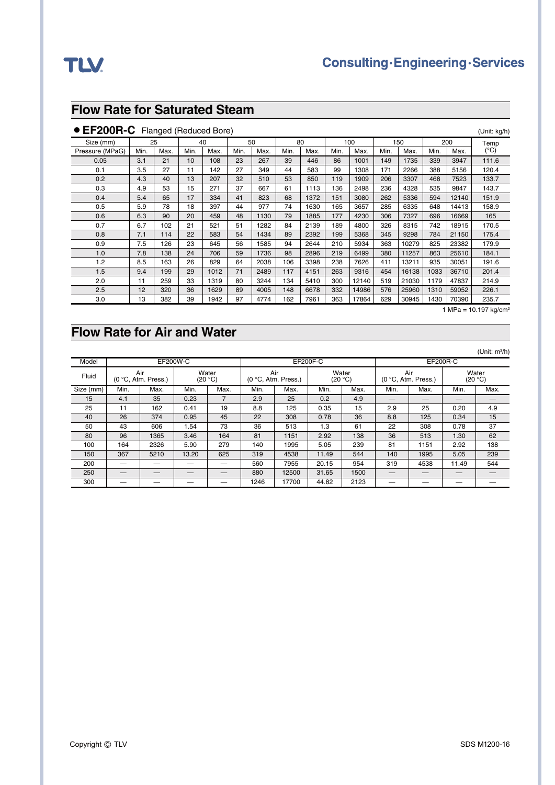### **Flow Rate for Saturated Steam**

### ● EF200R-C Flanged (Reduced Bore) and the state of the state of the state of the state of the state of the state of the state of the state of the state of the state of the state of the state of the state of the state of t

| Size (mm)       |      | 25   |      | 40   |      | 50   |      | 80   |      | 100   |      | 150   |      | 200   | Temp  |
|-----------------|------|------|------|------|------|------|------|------|------|-------|------|-------|------|-------|-------|
| Pressure (MPaG) | Min. | Max. | Min. | Max. | Min. | Max. | Min. | Max. | Min. | Max.  | Min. | Max.  | Min. | Max.  | (°C)  |
| 0.05            | 3.1  | 21   | 10   | 108  | 23   | 267  | 39   | 446  | 86   | 1001  | 149  | 1735  | 339  | 3947  | 111.6 |
| 0.1             | 3.5  | 27   | 11   | 142  | 27   | 349  | 44   | 583  | 99   | 1308  | 171  | 2266  | 388  | 5156  | 120.4 |
| 0.2             | 4.3  | 40   | 13   | 207  | 32   | 510  | 53   | 850  | 119  | 1909  | 206  | 3307  | 468  | 7523  | 133.7 |
| 0.3             | 4.9  | 53   | 15   | 271  | 37   | 667  | 61   | 1113 | 136  | 2498  | 236  | 4328  | 535  | 9847  | 143.7 |
| 0.4             | 5.4  | 65   | 17   | 334  | 41   | 823  | 68   | 1372 | 151  | 3080  | 262  | 5336  | 594  | 12140 | 151.9 |
| 0.5             | 5.9  | 78   | 18   | 397  | 44   | 977  | 74   | 1630 | 165  | 3657  | 285  | 6335  | 648  | 14413 | 158.9 |
| 0.6             | 6.3  | 90   | 20   | 459  | 48   | 1130 | 79   | 1885 | 177  | 4230  | 306  | 7327  | 696  | 16669 | 165   |
| 0.7             | 6.7  | 102  | 21   | 521  | 51   | 1282 | 84   | 2139 | 189  | 4800  | 326  | 8315  | 742  | 18915 | 170.5 |
| 0.8             | 7.1  | 114  | 22   | 583  | 54   | 1434 | 89   | 2392 | 199  | 5368  | 345  | 9298  | 784  | 21150 | 175.4 |
| 0.9             | 7.5  | 126  | 23   | 645  | 56   | 1585 | 94   | 2644 | 210  | 5934  | 363  | 10279 | 825  | 23382 | 179.9 |
| 1.0             | 7.8  | 138  | 24   | 706  | 59   | 1736 | 98   | 2896 | 219  | 6499  | 380  | 11257 | 863  | 25610 | 184.1 |
| 1.2             | 8.5  | 163  | 26   | 829  | 64   | 2038 | 106  | 3398 | 238  | 7626  | 411  | 13211 | 935  | 30051 | 191.6 |
| 1.5             | 9.4  | 199  | 29   | 1012 | 71   | 2489 | 117  | 4151 | 263  | 9316  | 454  | 16138 | 1033 | 36710 | 201.4 |
| 2.0             | 11   | 259  | 33   | 1319 | 80   | 3244 | 134  | 5410 | 300  | 12140 | 519  | 21030 | 1179 | 47837 | 214.9 |
| 2.5             | 12   | 320  | 36   | 1629 | 89   | 4005 | 148  | 6678 | 332  | 14986 | 576  | 25960 | 1310 | 59052 | 226.1 |
| 3.0             | 13   | 382  | 39   | 1942 | 97   | 4774 | 162  | 7961 | 363  | 17864 | 629  | 30945 | 1430 | 70390 | 235.7 |

1 MPa =  $10.197$  kg/cm<sup>2</sup>

### **Flow Rate for Air and Water**

|           |      |                            |                 |                  |      |                              |                  |      |                            |      |                  | (Unit: $m^3/h$ ) |  |
|-----------|------|----------------------------|-----------------|------------------|------|------------------------------|------------------|------|----------------------------|------|------------------|------------------|--|
| Model     |      |                            | <b>EF200W-C</b> |                  |      |                              | <b>EF200F-C</b>  |      | <b>EF200R-C</b>            |      |                  |                  |  |
| Fluid     |      | Air<br>(0 °C, Atm. Press.) |                 | Water<br>(20 °C) |      | Air<br>$(0 °C,$ Atm. Press.) | Water<br>(20 °C) |      | Air<br>(0 °C, Atm. Press.) |      | Water<br>(20 °C) |                  |  |
| Size (mm) | Min. | Max.                       | Min.            | Max.             | Min. | Max.                         | Min.             | Max. | Min.                       | Max. | Min.             | Max.             |  |
| 15        | 4.1  | 35                         | 0.23            |                  | 2.9  | 25                           | 0.2              | 4.9  |                            | _    |                  |                  |  |
| 25        | 11   | 162                        | 0.41            | 19               | 8.8  | 125                          | 0.35             | 15   | 2.9                        | 25   | 0.20             | 4.9              |  |
| 40        | 26   | 374                        | 0.95            | 45               | 22   | 308                          | 0.78             | 36   | 8.8                        | 125  | 0.34             | 15               |  |
| 50        | 43   | 606                        | 1.54            | 73               | 36   | 513                          | 1.3              | 61   | 22                         | 308  | 0.78             | 37               |  |
| 80        | 96   | 1365                       | 3.46            | 164              | 81   | 1151                         | 2.92             | 138  | 36                         | 513  | 1.30             | 62               |  |
| 100       | 164  | 2326                       | 5.90            | 279              | 140  | 1995                         | 5.05             | 239  | 81                         | 1151 | 2.92             | 138              |  |
| 150       | 367  | 5210                       | 13.20           | 625              | 319  | 4538                         | 11.49            | 544  | 140                        | 1995 | 5.05             | 239              |  |
| 200       |      |                            |                 |                  | 560  | 7955                         | 20.15            | 954  | 319                        | 4538 | 11.49            | 544              |  |
| 250       |      |                            |                 |                  | 880  | 12500                        | 31.65            | 1500 |                            |      |                  |                  |  |
| 300       |      |                            |                 |                  | 1246 | 17700                        | 44.82            | 2123 |                            |      |                  |                  |  |